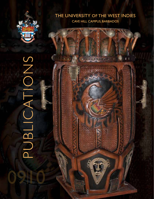

# THE UNIVERSITY OF THE WEST INDIES CAVE HILL CAMPUS, BARBADOS

PUBLICATIONS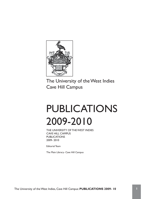

The University of the West Indies Cave Hill Campus

# PUBLICATIONS 2009-2010

THE UNIVERSITY OF THE WEST INDIES CAVE HILL CAMPUS **PUBLICATIONS** 2009- 2010

Editorial Team

The Main Library- Cave Hill Campus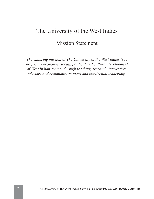# The University of the West Indies

# Mission Statement

*The enduring mission of The University of the West Indies is to propel the economic, social, political and cultural development of West Indian society through teaching, research, innovation, advisory and community services and intellectual leadership.*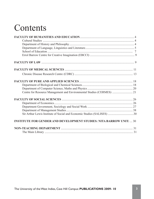# **Contents**

| Centre for Resource Management and Environmental Studies (CERMES)  21      |  |
|----------------------------------------------------------------------------|--|
|                                                                            |  |
|                                                                            |  |
|                                                                            |  |
|                                                                            |  |
| Sir Arthur Lewis Institute of Social and Economic Studies (SALISES) 30     |  |
| <b>INSTITUTE FOR GENDER AND DEVELOPMENT STUDIES: NITA BARROW UNIT:  30</b> |  |
|                                                                            |  |
|                                                                            |  |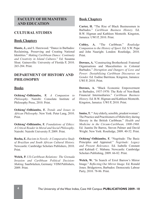# **FACULTY OF HUMANITIES AND EDUCATION**

# **CULTURAL STUDIES**

# **Book Chapters**

**Hunte, J.,** and S. Harewood. "Dance in Barbados: Reclaiming, Preserving and Creating National Identities." *Making Caribbean Dance: Continuity and Creativity in Island Cultures*." Ed. Susanna Sloat. Gainesville: University of Florida P, 2010. 265-284. Print.

# **DEPARTMENT OF HISTORY AND PHILOSOPHY**

### **Books**

**Ochieng'-Odhiambo, F.** *A Companion to Philosophy*. Nairobi: Consolata Institute of Philosophy Press, 2010. Print.

**Ochieng'-Odhiambo, F.** *Trends and Issues in African Philosophy*. New York: Peter Lang, 2010. Print.

**Ochieng'-Odhiambo, F.** *Foundations of Ethics: A Critical Reader in Moral and Social Philosophy*. Nairobi: Nairobi University P, 2009. Print.

**Rocha, E.** *Racism in Novels: A Comparative Study of Brazilian and South African Cultural History.* Newcastle: Cambridge Scholars Publishers, 2010. Print.

**Welch, P.** *US-Caribbean Relations: The Grenada Invasion and Caribbean Political Decision-Making.* Saarbrücken, Germany: VDM Publishers, 2009. Print.

# **Book Chapters**

**Carter, H.** "The Rise of Black Businessmen in Barbados." *Caribbean Business History.* Ed. B.W. Higman and Kathleen Monteith. Kingston, Jamaica: UWI P, 2010. Print.

**Cobley, A.** "The Caribbean." *Routledge Companion to the History of Sport*. Ed. S.W. Pope and John Nauright. London: Routledge, 2010. Print.

**Downes, A.** "Constructing Brotherhood: Fraternal Organisations and Masculinities in Colonial Barbados." *Disruption and Dangers of Love and Power: Destabilizing Caribbean Discourses on Gender.* Ed*.* Eudine Barriteau. Kingston, Jamaica: UWI P, 2010. Print.

**Downes, A.** "Black Economic Empowerment in Barbados, 1937-1970: The Role of Non-Bank Financial Intermediaries." *Caribbean Business History.* Ed. B.W. Higman and Kathleen Monteith. Kingston, Jamaica: UWI P, 2010. Print.

**Inniss, T.** "'Any elderly, sensible, prudent woman': The Practice and Practitioners of Midwifery during Slavery in the British Caribbean." *Health and Medicine in the Circum-Caribbean, 1800-1968*. Ed. Juanita De Barros, Steven Palmer and David Wright. New York: Routledge, 2009. 40-52. Print.

**Ochieng'-Odhiambo, F.** "Negritude: The Basic Principles and Appraisal." *Negritude: Legacy and Present Relevance.* Ed. Isabelle Constant and Kahiudi C. Mabana. Newcastle: Cambridge Scholars Publishing, 2009. 66-82. Print.

**Welch, W.** "In Search of Errol Barrow's Mirror Image." *Reflecting Our Mirror Image.* Ed. Ronald Jones. Bridgetown, Barbados: Democratic Labour Party, 2010. 78-86. Print.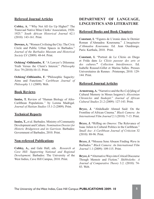# **Refereed Journal Articles**

**Cobley, A.** "'Why Not All Go Up Higher?' The Transvaal Native Mine Clerks' Association, 1920- 1925." *South African Historical Journal* 62.1 (2010): 143-161. Print.

**Downes, A.** "Women Civilising the City: The Civic Circle and Public Urban Spaces in Barbados." *Journal of the Barbados Museum and Historical Society* LV (2009): 48-64. Print.

**Ochieng'-Odhiambo, F.** "A Lawyer's Dilemma: Truth Versus the Client's Interest." *Philosophy Now* 79 (2010):10-13. Print.

**Ochieng'-Odhiambo, F.** "Philosophic Sagacity: Aims and Functions." *Caribbean Journal of Philosophy* 1.1 (2009). Web.

#### **Book Reviews**

**Inniss, T.** Review of "Human Biology of Afro-Caribbean Populations.*"* by Lorena Madrigal. *Journal of Haitian Studies* 15.1-2 (2009). Print.

### **Technical Reports**

**Inniss, T.,** et al. Barbados. Ministry of Community Development and Culture. *Nomination Dossier for Historic Bridgetown and its Garrison*. Barbados: Government of Barbados, 2010. Print.

### **Non-refereed Publications**

**Cobley, A.,** and Gale Hall, eds. *Research at Cave Hill: Supporting National and Regional Development*. Barbados: The University of the West Indies, Cave Hill Campus, 2010. Print.

# **DEPARTMENT OF LANGUAGE, LINGUISTICS AND LITERATURE**

### **Refereed Books and Book Chapters**

**Constant, I.** "Figures de L'ironie dans le Dernier Roman d'Ahmadou Kourouma." *L'imaginaire d'Ahmadou Kourouma.* Ed. Jean Ouedraogo. Paris: Karthala, 2010. Print.

**Constant, I.** "Portrait de Le Clézio en Diego et Frida dans *Le Clézio passeur des arts et des cultures.***"** *Collection Interférences*. Ed. Isabelle Roussel-Gillet et Marina Salles. Presses Universitaires de Rennes : Printemps, 2010. 129- 144. Print.

# **Refereed Journal Articles**

Armstrong, A. "Narrative and the Re-Co[r]ding of Cultural Memory in Moses Isegawa's *Abyssinian Chronicles* and *Snakepit*." *Journal of African Cultural Studies* 21.2 (2009): 127-143. Print.

**Bryce, J.** "Abdulkadir Ahmed Said: On the Frontline of African Cinema." *Black Camera: An International Film Journal* 2.1 (2010): 7-13. Print.

**Bryce, J. "**Riffing on *Omeros*: The Relevance of Isaac Julien to Cultural Politics in the Caribbean." *Small Axe: A Caribbean Journal of Criticism* 32 (2010): 88-96. Print.

**Bryce, J. "**Moussa Sene Absaon Finding *Waru* in Barbados." *Black Camera: An International Film Journal* 1.1 (2009): 109-115. Print.

**Bryce, J. "**Alternative Ways into Critical Discourse Though Memoir and Fiction." *Shibboleths: A Journal of Comparative Theory* 3.2. (2010): 74- 83. Web.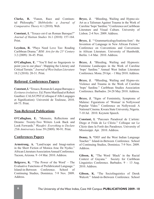**Clarke, R.** "Fanon, Race and Continental Philosophy." *Shibboleths: a Journal of Comparative Theory* 4.1 (2010). Web.

**Constant, I.** "Texaco est-il un Roman Baroque?" *Journal of Haitian Studies* 16.1 (2010): 157-164. Print.

Leyshon, R. "Plays Need Love Too: Reading Caribbean Drama." *BIM: Arts for the 21st Century* 3.2 (2009): 36-45. Print.

**O'Callaghan, E.** "'You'll find no fingerposts to point you to our place': Mapping the Literary and Critical Terrain." *Journal of West Indian Literature*  18.2 (2010): 20-31. Print.

# **Refereed Conferences Papers**

**Constant, I.** "Texaco, Roman de Langue Baroque.» *Ecritures évolutives*. Ed. Pierre Marillaud et Robert Gauthier. CALS/CPST (Colloque d'Albi Langages et Signification): Université de Toulouse, 2010. 69-75. Print.

# **Non-Refereed Publications**

**O'Callaghan, E.** "Memoirs, Reflections and Dreams: Twenty-Two Writers Look Back and Look Forwards." *Wasafiri: Everything to Declare 25th Anniversary Issue* 59 (2009): 90-91. Print.

# **Conferences Papers**

**Armstrong, A.** "Land/scape and Imagi-nation in the Short Fiction of Monica Arac De Nyeko." African Literature Association Annual Conference. Tucson, Arizona. 9 -14 Mar. 2010. Address.

**Belgrave, K.** '"The Power of the Word' – The Evaluative Functions of Prefabricated Language." Island-in-Between Conference. School of Continuing Studies, Dominica. 7-9 Nov. 2009. Address.

**Bryce, J.** "Bleeding, Wailing and Hypno-sis: Art as a Talisman Against Trauma in the Work of Caroline 'bops' Sardine." Conference on Caribbean Literature and Visual Culture. University of Lisbon. 2-4 Nov. 2009. Address.

**Bryce, J.** "'Grammarticalogylisationa-lism': the Invention of Language in New African Fiction." Conference on Conventions and Conversions in African Literature. University of Humboldt, Berlin. 1-4 Mar. 2010. Address.

**Bryce, J.** "Bleeding, Wailing and Hypnosis: Feminine Landscapes in the Work of Caroline 'bops' Sardine." Annual West Indian Literature Conference. Mona. 29 Apr. – 1 May 2010. Address.

**Bryce, J. "**Bleeding, Wailing and Hypno-sis: Violence and Trauma in the Work of Caroline 'bops' Sardine." Caribbean Studies Association Conference. Barbados. 24-28 May 2010. Address.

**Bryce, J.** "Signs of Femininity, Symptoms of Malaise: Figurations of 'Woman' in Nollywood Popular Video." Conference on Nollywood: A National Cinema. Kwara State University, Nigeria. 7-10 Jul. 2010. Keynote Speech.

**Constant, I.** "Parcours Paradoxal de L'artiste: Diego et Frida de Le Clézio." Colloque sur Le Clézio dans la Forêt des Paradoxes. University of Mississippi. Apr. 2010. Address.

**Denny, S. "**DEF and the West Indian Language Teacher." Island-in-Between Conference. School of Continuing Studies, Dominica. 7-9 Nov. 2009. Address.

**Gibson, K.** "The Word 'Black' in the Racial Context of Guyana." Society for Caribbean Linguistics Conference. Barbados. 9 – 13 Aug. 2010. Address.

**Gibson, K.** "The Sociolinguistics of Derek Walcott." Island-in-Between Conference. School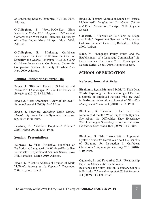of Continuing Studies, Dominica. 7-9 Nov. 2009. Address.

**O'Callaghan, E**. "Proto-PoCo-Eco: Elma Napier's *A Flying Fish Whispered*." 29<sup>th</sup> Annual Conference on West Indian Literature. University of the West Indies. Mona. 29 Apr. - May 2010. Address.

**O'Callaghan, E**. "Marketing Caribbean Landscapes: the Case of William Beckford of Somerley and George Robertson." ACT 22 Going Caribbean International Conference. Centre for Comparative Studies. University of Lisbon. 2 -3 Nov. 2009. Address.

# **Popular Publications/Journalism**

**Bryce, J. "**Bits and Pieces I Picked up and Pocketed." *Chimurenga* 15: *The Curriculum is Everything* (2010): 83-92. Print.

**Bryce, J.** "Peter Abrahams: A View of His Own." *Baobab Journal* 4 (2009): 24–27 Print.

**Bryce, J.** Foreword. *Recalling These Things, Memoir*. By Dame Patricia Symonds. Barbados: n.p, 2009. ix-xi. Print.

**Leyshon, R***. "*Kathleen Drayton: A Tribute." *Daily Nation* 20 Jul. 2009. Print.

# **Seminar Presentations**

Belgrave, K. "The Evaluative Functions of Prefabricated Language in the Writing of Barbadian Journalists." Departmental Seminar Series. Cave Hill, Barbados. March 2010. Address.

**Bryce, J.** "Feature Address at Launch of Mark McWatt's *Journey to Le Repentir*." December 2009. Keynote Speech.

**Bryce, J.** "Feature Address at Launch of Patricia Mohammed's *Imaging the Caribbean: Culture and Visual Translations*." 7 Apr. 2010. Keynote Speech.

**Constant, I.** "Portrait of Le Clézio as Diego and Frida." Department Seminar in Theory and Criticism Seminar. Cave Hill, Barbados. 14 Sep. 2009. Address.

**Isaac, M.** "Language Policy Issues and the Establishment of a Language Commission." St. Lucia Studies Conference 2010. Emancipation Lecture Series. 26 Jul. 2010. Keynote Speech.

# **SCHOOL OF EDUCATION**

# **Refereed Journal Articles**

**Blackman, S.,** and **Maynard D. M.** "In Their Own Words: Exploring the Phenomenological Field of a Sample of Employed Persons Who are Deaf in Barbados. *International Journal of Disability Management Research* 4 (2010): 12-18. Print.

**Blackman, S.** "Learning is hard work and sometimes difficult": What Pupils with Dyslexia Say About the Difficulties They Experience With Learning at Secondary School in Barbados. *Caribbean Curriculum* 16.9 (2009): 1-16. Print.

**Blackman, S.** "Who I Work With is Important: Dyslexic Student's Narratives About the Benefits of Grouping for Instruction in Caribbean Classrooms." *Support for Learning* 25.1 (2010): 4-10. Print.

Ogunkola, B., and **Fayombo, G. A**. "Relationship Between Adolescents' Psychological Resilience and Study Habit in Secondary Schools in Barbados." *Journal of Applied Global Research*  2.4 (2009): 113-121. Print.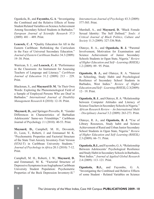Ogunkola, B., and **Fayombo, G. A**. "Investigating the Combined and the Relative Effects of Some Student Related Variables on Science Achievement Among Secondary School Students in Barbados." *European Journal of Scientific Research* 37.3 (2009): 481 – 489. Print.

**Leacock, C. J**. **"**Quality Education for All in the Eastern Caribbean: Rethinking the Curriculum in the Face of Universal Secondary Education." *Journal of Eastern Caribbean Studies* 34.3 (2009): 19–38. Print.

Warrican, S. J., and **Leacock, C. J.** "Performance in the Classroom: An Instrument for Assessing Teachers of Language and Literacy." *Caribbean Journal of Education* 31.2 (2009): 213 – 229. Print.

Blackman, S., and **Maynard D. M.** "In Their Own Words: Exploring the Phenomenological Field of a Sample of Employed Persons Who are Deaf in Barbados." *International Journal of Disability Management Research* 4 (2010): 12-18. Print.

**Maynard, D.,** and Springer-Proverbs, R. "Gender Differences in Characteristics of Barbadian Adolescents' Same-sex Friendships." Caribbean Journal of Psychology *3*.1 (2010): 40-53. Print.

**Maynard, D.,** Campbell, M. H., Devonish, D., Leon, T., Roberti, J. and Emmanuel M. K. "Psychometric Properties and Factorial Structure of the State Trait Anxiety Inventory-Trait Version (STAI-T) in Caribbean University Students*." Journal of Psychology in Africa* 20.1 (2010): 7-12. Print.

Campbell, M. H., Roberti, J. W., **Maynard, D.** and Emmanuel, M. K. "Factorial Structure of Depressive Symptoms in an Anglophone Caribbean University Student Population: Psychometric Properties of the Beck Depression Inventory-II."

*Interamerican Journal of Psychology* 43.3 (2009): 577-585. Print.

Marshall, A., and **Maynard, D.** "Black Female Sexual Identity: The Self Defined." *Souls: A Critical Journal of Black Politics, Culture and Society* 11.3 (2009): 327-336.Web.

Olatoye, R. A., and **Ogunkola, B. J.** "Parental Involvement, Motivation for Examination and Science Achievement of Junior Secondary Schools Students in Ogun State, Nigeria." *Review of Higher Education and Self—Learning (RHESL)*  1.2 (2009): 89– 95. Print.

**Ogunkola, B. J.,** and Olatoye, R. A. **"**Interest in Schooling, Study Habit and Psychological Resilience of Secondary School Students in Barbados, West Indies." *Review of Higher Education and Self—Learning (RHESL)* 2.3(2009): 12– 19. Print.

**Ogunkola, B. J**., and Olatoye, R. A. **"**Relationship between Computer Attitudes and Literacy of Science Teachers in Secondary Schools in Nigeria." *African Research Review – An International Multi – Disciplinary Journal* 3.2 (2009): 263-273. Print.

Olatoye, R. A., and **Ogunkola, B. J. "**Use of Library Resources, Study habit and Science Achievement of Rural and Urban Junior Secondary School Students in Ogun State, Nigeria." *Review of Higher Education and Self–Learning (RHESL)* 2.3 **(**2009): 66–71. Print.

**Ogunkola, B.J.,** and Fayombo, G. A. **"**Relationship Between Adolescents' Psychological Resilience and Study Habit in Secondary Schools in Barbados, West Indies." *Journal of Applied Global Research* 2.4 (2009): 113–121. Print.

**Ogunkola, B.J.,** and Fayombo, G. A. "Investigating the Combined and Relative Effects of some Student - Related Variables on Science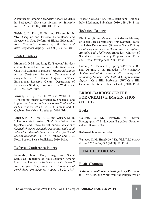Achievement among Secondary School Students in Barbados." *European Journal of Scientific Research* 37.3 (2009): 481–489. Print.

Welsh, J. F., Ross, E. W., and **Vinson, K. D**. "To Discipline and Enforce: Surveillance and Spectacle in State Reform of Higher Education." *New Proposals: Journal of Marxism and Interdisciplinary Inquiry* 3.2 (2009): 25-39. Print.

# **Book Chapters**

**Maynard, D. M**., and Ring, K. "Students' Services and Wellness at the University of the West Indies, Cave Hill Campus, Barbados." *Higher Education in the Caribbean: Research, Challenges and Prospects.* Ed. A. Inenne. Kingston, Jamaica: Educational Research Centre, Department of Educational Studies, University of the West Indies, 2010. 552-579. Print.

**Vinson, K. D.,** Ross, E. W. and Welsh, J. F. "Controlling Images Surveillance, Spectacle, and High-stakes Testing as Social Control." *Education as Enforcement*. 2nd ed. Ed. K. J. Saltman and D. Gabbard. New York: Routledge, 2010. Print.

**Vinson, K. D.,** Ross, E. W. and Wilson, M. B. "The concrete inversion of life': Guy Debord, the Spectacle, and Critical Social Studies Education." *Critical Theories, Radical Pedagogies, and Social Education: Towards New Perspectives for Social Studies Education.* Ed. A. P. DeLeon and E. W. Ross*.* Boston: Sense Publishers, 2010. Print.

### **Refereed Conference Papers**

**Fayombo, G.A.** "Body Image and Social Status as Predictors of Mate selection Among Unmarried University Students in the Caribbean." *XIV European Conference on Developmental Psychology Proceedings, August 18-22, 2009,* 

*Vilnius, Lithuania*. Ed. Rita Zukauskiene. Bologna, Italy: Medimond Publishers, 2010. 529 -534. Print.

# **Technical Reports**

**Blackman, S**., and Maynard, D. Barbados. Ministry of Social Care Constituency Empowerment, Rural and Urban Development (Bureau of Social Policy). *Employing Persons with Disabilities: Perceptions Attitudes and Challenges*. Barbados: Ministry of Social Care Constituency Empowerment, Rural and Urban Development, 2009. Print.

Burnett, A., Tannis, D., Springer-Proverbs, R., and **Obidah, J. E.** Barbados. *The Academic Achievement of Barbados' Public Primary and Secondary Schools 1999-2008: A Comprehensive Report*. Cave Hill, Barbados: UWI Cave Hill Campus Education Evaluation Centre, 2010. Print.

# **ERROL BARROW CENTRE FOR CREATIVE IMAGINATION (EBCCI)**

#### **Books**

Walcott, C. M. Harclyde, ed. "Seven Photographers." Bridgetown, Barbados : Pommecythere Books, 2009.

#### **Refereed Journal Articles**

**Walcott, C. M. Harclyde.** "The Visit." *BIM: Arts for the 21st Century* 3.2 (2009): 70. Print

# **FACULTY OF LAW**

### **Book Chapters**

**Antoine, Rose-Marie.** "Charting a Legal Response to HIV/ AIDS and Work from the Perspective of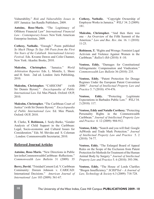Vulnerability." *Risk and Vulnerability Issues in HIV.* Jamaica: Ian Randle Publishers, 2009.

**Antoine, Rose-Marie.** "The Legitimacy of Offshore Financial Law" *International Financial Law – Contemporary Issues.* New York: American Enterprise Institute, 2009.

**Cothesy, Nathalie.** "Enough." Poem published *So Much Things To Say 100 Poets from the First Ten Years of the Calabash International Literary Festival.* Eds. Kwame Dawes and Colin Channer, New York: Akashic Books, 2010.

**Malcolm, Christopher.** "Jamaica." *World Arbitration Reporter.* Eds. L. Mistelis, L. Shore and H. Smit. 2nd ed. London: Juris Publishing, 2010.

**Malcolm, Christopher.** "CARICOM" (with Sir Dennis Byron)." *Encyclopaedia of Public International Law.* Ed. Max Planck. Oxford: OUP, 2010.

**Malcolm, Christopher.** "The Caribbean Court of Justice" (with Sir Dennis Byron)." *Encyclopaedia of Public International Law.* Ed. Max Planck. Oxford: OUP, 2010.

R. Clarke, **T. Robinson,** J. Sealy-Burke, "Gender Analysis of Child Support in the Caribbean: Legal, Socio-economic and Cultural Issues for Consideration." Eds. M. Shivdas and S. Coleman . London: Commonwealth Secretariat, 2010.

### **Refereed Journal Articles**

**Antoine, Rose-Marie.** "New Directions in Public law in the Commonwealth Caribbean –Reflections." *Commonwealth Law Bulletin* 31 (2009): 35

**Berry, David.** "Trinidad Cement Ltd. V. Caribbean Community: Doreen Johnson v. CARICAD: International Decisions." *American Journal of International Law* 103 (2009): 561-67.

**Cothesy, Nathalie.** "Copyright Ownership of Employee Works in Jamaica." *WILJ* 34. 2 (2009): 181.

**Malcolm, Christopher.** "And then there was one – An Overview of the Fifth Summit of the Americas." *Law and Bus. Rev. Am.* 16. 1 (2010): 11-23.

**Robinson, T.** "Rights and Wrongs: Feminist Legal Activism and Violence Against Women in the Caribbean." *Balliol's Rib* (2010): 8 -10.

**Ventose, Eddy.** "Damages for Constitutional Infringements: Compensation and Vindication." *Commonwealth Law Bulletin* 36 (2010): 235.

**Ventose, Eddy.** "Patent Protection for Dosage Regimes Under the European Patent Convention 2000." *Journal of Intellectual Property Law and Practice* 5. 7 (2010): 474-476.

**Ventose, Eddy.** "Protecting Legitimate Expectations in Barbados Public Law." *WILJ* 34. 2 (2010): 117.

**Ventose, Eddy and Natalie Corthesy.** "Protecting Personality Rights in the Commonwealth Caribbean." *Journal of Intellectual Property Law and Practice* 4. 12 (2009): 904-912.

**Ventose, Eddy.** "Search and you will find: Google AdWords and Trade Mark Protection." *Journal of Intellectual Property Law and Practice* 5. 2 (2010): 74-77.

**Ventose, Eddy.** "The Enlarged Board of Appeal Rules on the Scope of the Exclusion from Patent Protection for Methods for Treatment of the Human Animal Body by Surgery." *Journal of Intellectual Property Law and Practice* 5. 6 (2010): 393-396.

**Ventose, Eddy.** "The House of Lords Clarifies "Biogen Insufficiency." *SCRIPTed* – *A Journal of Law, Technology & Society* 6.3 (2009): 718-728.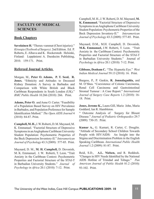# **FACULTY OF MEDICAL SCIENCES**

# **Book Chapters**

**Savolainen H.** "Thorax-vammat (Chest injuries)." *Kirurgia (Textbook of Surgery).* 2nd Edition. Ed. P. Roberts, E. Alhava and K. Hockerstedt. Helsinki, Finland: Leppäniemi A. Duodecim Publishing, 2010. 159-171. Print.

# **Refereed Journal Articles**

Morgan, M., **Peter O. Adams, P. T. Seed, R. Jones.** "Ethnicity and Attitudes to Deceased Kidney Donation: A Survey in Barbados and Comparison with White British and Black Caribbean Respondents in South London (UK)." *BMC Public Health* 10.266 (2010): 266. Print.

**Adams, Peter O.** and Anne O. Carter. "Feasibility of a Population Based Survey on HIV Prevalence in Barbados, and Population Preference for Sample Identification Method." *The Open AIDS Journal* 4 (2010): 84-87. Print.

**Campbell, M. H.,** J. W. Roberti, D. M. Maynard, M. K. Emmanuel. "Factorial Structure of Depressive Symptoms in an Anglophone Caribbean University Student Population: Psychometric Properties of the Beck Depression Inventory-II." *Interamerican Journal of Psychology* 43.3 (2009): 577-85. Print.

Maynard, D. M., **M. H. Campbell,** D. Devonish, M. K. Emmanuel, J. W. Roberti, T. Leon. "Trait Anxiety in the Caribbean Context: Psychometric Properties and Factorial Structure of the STAI-T in Barbadian University Students." *Journal of Psychology in Africa* 20.1 (2010): 7-12. Print.

Campbell, M. H., J. W. Roberti, D. M. Maynard, **M. K. Emmanuel.** "Factorial Structure of Depressive Symptoms in an Anglophone Caribbean University Student Population: Psychometric Properties of the Beck Depression Inventory-II." *Interamerican Journal of Psychology* 43.3 (2009): 577-85. Print.

Maynard, D.M., M.H. Campbell, D. Devonish, **M.K. Emmanuel,** J.W. Roberti, T. Leon. "Trait Anxiety in the Caribbean Context: Psychometric Properties and Factorial Structure of the STAI-T in Barbadian University Students." Journal of *Psychology in Africa* 20.1 (2010): 7-12. Print.

**Gibbons, Denham C.** "The Hypnotic Eye." *West Indian Medical Journal* 59.13 (2010): 16. Print.

Burgess, P., P. Gaskin, **R. Jonnalagadda,** and M. O'Shea. "Coexistence of Colonic Carcinoma, Renal Cell Carcinoma and Gastrointestinal Stromal Tumour : A Case Report." *International Journal of Surgery Case Reports* 1.2 (2010): 16- 18. Print.

**Jones, Jerome K.,** Laura Gill, Mario John, Maria Goddard, Ian R. Hambleton.

" Outcome Analysis of Surgery for Blount Disease." *Journal of Pediatric Orthopaedics* 29.7 (2009): 730-35. Print.

**Kumar A.,** G. Kumari, R. Carter, C. Douglin. "Attitude of Secondary School Children Towards People with HIV/AIDS: An Insight into the Stigma and Discrimination Problem in the English Speaking Caribbean. *International Public Health Journal* 1.2 (2009): 81-87. Print.

Reid, S.D., **A.L. Nielsen,** and R. Reddock. "Changes in HIV Needs Identified by the National AIDS Hotline of Trinidad and Tobago." *Pan American Journal of Public Health* 81.2 (2010): 93-102. Print.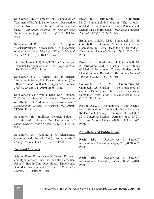**Savolainen H.** "Comment on "Endovascular Treatment of Profunda Femoris Artery Obstructive Disease: Nonsense or Useful Tool in Selected Cases?" *European Journal of Vascular and Endovascular Surgery* 39.4 (2010): 515-16. Print.

**Savolainen H.** P. Berdat, B. Meier, M. Kupari. "Laakari Potilaana – Koronaaritauti (Management of Coronary Heart Disease)." *Finnish Medical Journal* 23 (2010): 2118-123. Print.

Li J, **Savolainen H.,** Q. Tan, S. Zheng. "Orthotopic Testicular Transplantation in Mice." *Reproduction*  139 (2010): 447-52. Print.

**Savolainen H.,** B. Meier, and P. Berdat. "Perintotekijoita ei Voi Taysin Haivyttaa (The Effect of Genes Will not Disappear)." *Finnish Medical Journal* 34 (2010): 2658. Print.

**Savolainen H.,** J. Novak, F. Dick, M.K. Widmer, T. Carrel, J. Schmidli, B. Meier. "Prevention of Rupture of Abdominal Aortic Aneurysm." *Scandanavian Journal of Surgery* 99 (2010): 217-20. Print.

**Savolainen H.** "Suullisten Tenttien Paluu – Toivottavasti! (Return of Oral Examinations)." *Nuori Laakari (Young Doctor)* 47 (2010): 35-36. Print.

**Savolainen H.** "Koulutusta Ja Ajankayttoa (Training and Use of Time)." *Nuori Laakari (Young Doctor)* 47 (2010): 36 -37. Print.

#### **Published Abstracts**

**Adams, Peter O.** and Anne O. Carter. "Diabetes and Hypertension Guidelines and the Barbadian Primary Health Care Practitioner: Knowledge, Attitudes, Practices and Barriers." *BMC Family Practice* 11 (2010): 96. Print.

Brown, R., N. Brathwaite, **M. H. Campbell,**  M. K. Emmanuel, P.S. Gaskin. "The Attitudes of Medical Practitioners Towards Patients with Mental Illness in Barbados." *West Indian Medical Journal*, 59.2 (2010): 24-5. Print.

Brathwaite, J.E.M., M.K. Emmanuel, **M. H. Campbell,** P. S. Gaskin. "The Prevalence of Depression in District Hospitals of Barbados." *West Indian Medical Journal,* 59.2 (2010): 32. Print.

Brown, R., N. Brathwaite, M.H. Campbell, **M. K. Emmanuel** and P.S. Gaskin. "The Attitudes of Medical Practitioners Towards Patients with Mental Illness in Barbados." *West Indian Medical Journal,* 59.2 (2010): 24-5. Print.

Brathwaite, J.E.M., **M. K Emmanuel,** M. Campbell, P.S. Gaskin. "The Prevalence of Geriatric Depression in the District Hospitals of Barbados." *West Indian Medical Journal,* 59.2 (2010): 32. Print.

**Nielsen, A.L.,** E.P. Mohammed. "Using Discrete Event Simulation to Predict the Need for Renal Replacement Therapy Resources." ERA-EDTA 2010 Congress, Munich, Germany. June 25-28, 2010. *NDTplus* 3.3 (June 2010): iii303 – iii547. Print.

### **Non-Refereed Publications**

**Rosin, RD.** "Perspectives in Surgery" *International Journal of Surgery* 7.6 (2009): 487. Print

**Rosin, RD.** "Perspectives in Surgery" *International Journal of Surgery* 8.1-5 (2010. Print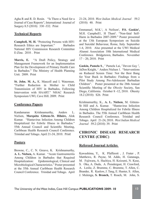Agha R and R. D. Rosin. "Is There a Need for a Journal of Case Reports", International Journal of Surgery 8.5 (2010): 330 -332. Print

# **Technical Reports**

**Campbell, M. H.** "Protecting Persons with HIV: Research Ethics are Important." Barbados National HIV Commission Research Committee E-Zine. 2010 . Print

**Morris, E.** "A Draft Policy, Strategy and Management Framework for an Implementation Plan for the Development of Primary Health Care in Barbados." The Ministry of Health Planning Unit. 2009. Print

**St. John. M. A.,** K. Mascoll and I. Waterman. "Further Reduction in Mother to Child Transmission of HIV in Barbados, Following Intervention with HAART." NHAC Research Symposium UWI, Cave Hill. 2009. Print

# **Conference Papers**

Kandamaran Krishnamurthy, Anders L. Nielsen, **Marquita Gittens-St. Hilaire,** Alok Kumar. "Hantavirus Infection Among Children Hospitalized for Febrile Illness in Barbados." 55th Annual Council and Scientific Meeting, Caribbean Health Research Council Conference. Trinidad and Tobago. April 21-24, 2010. Print

### **Posters**

Browne, C., C. N. Greave, K. Krishnamurthy, **A. L. Nielsen,** A. Kumar. "Acute Gastroenteritis Among Children in Barbados that Required Hospitalization: Epidemiological, Clinical and Microbiological Characteristics." Poster presented at the 55th Annual Caribbean Health Research Council Conference. Trinidad and Tobago. April 21-24, 2010. *West Indian Medical Journal* 59.2 (2010): 40. Print

Emmanuel, M.K.<sup>1</sup>, A Neilson<sup>1</sup>, P.S. Gaskin<sup>1</sup>, M.H. Campbell1, H Thani<sup>2</sup>. "Non-fatal Self-Harm in Barbados 2007-2009." Poster presented at the 13th European Symposium on Suicide and Suicidal Behaviour, Rome, Italy. September 1-4, 2010. Also presented at the UWI Medical Alumni Association 10th International Medical Conference. Bridgetown, Barbados. November 17 – 20, 2010. Print

**Gaskin, Pamela S**., *<sup>1</sup>* Pamela Lai, *<sup>2</sup>*Devon Guy *<sup>2</sup>* , JaDon Knight, *<sup>1</sup>* Anders Nielsen 1. "Interventions on Reduced Screen Time: Not the Best Bang for Your Buck in Barbados: Findings from a Pilot Study Among Pre-Adolescent Barbadian Children". Poster presented at the 28th Annual Scientific Meeting of the *Obesity* Society, San Diego, California. October 8 -12, 2010. Obesity 18.2 (2010): S26. Print

Krishnamurthy, K., **A. L. Nielsen**, M. Gittens-St Hill and A. Kumar. "Hantavirus Infection Among Children Hospitalized for Febrile Illness in Barbados. The 55th Annual Caribbean Health Research Council Conference. Trinidad and Tobago. April 21-24, 2010. *West Indian Medical Journal* 59.2 (2010): 39. Print

# **CHRONIC DISEASE RESEARCH CENTRE (CDRC)**

# **Refereed Journal Articles**

Kawashima, Y., K. Pfafferott , J. Frater , P. Matthews, R. Payne, M. Addo, H. Gatanaga, M. Fujiwara, A. Hachiya, H. Koizumi, N. Kuse, S. Oka, A. Duda, A. Prendergast, H. Crawford, A. Leslie, Z. Brumme, C. Brumme, T. Allen, C. Brander, R. Kaslow, J. Tang, E. Hunter, S. Allen, J. Mulenga, **S. Branch,** T. Roach, M. John, S.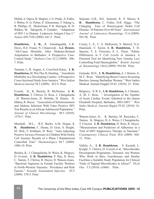Mallal, A. Ogwu, R. Shapiro, J. G. Prado , S. Fidler, J. Weber, O. G. Pybus, P. Klenerman, T. Ndung'u, R. Phillips, D. Heckerman, P. R. Harrigan, B. D. Walker, M. Takiguchi, P. Goulder. "Adaptation of HIV-1 to Human Leukocyte Antigen Class I." *Nature* 458.7328 (2009): 641-5. Print.

**Hambleton, I. R.,** R. Jonnalagadda, C.R. Davis, H.S. Fraser, N. Chaturvedi, **A.J. Hennis.** "All-Cause Mortality After Diabetes-Related Amputation in Barbados: A Prospective Case-Control Study." *Diabetes Care* 32.2 (2009): 306- 7. Print.

Tennant, I., R. Augier, A. Crawford-Sykes, **I. R. Hambleton,** M. Win Tha, H. Harding. "Anesthetic Morbidity in a Developing Country: A Prospective Cross-Sectional Study from Jamaica." *West Indian Medical Journal* 58.5 (2009): 452-9. Print.

Everett, D., K. Baisely, R. McNerney, **I. R. Hambleton,** T. Chirwa, D. Ross, J. Changalucha , D. Watson-Jones, H. Helmby, D. Dunne, D. Mabey, R. Hayes. "Association of Schistosomiasis and Malaria Infection With False Positive HIV Test Results in an African Adolescent Population." *Journal of Clinical Microbiology* 48.5 (2010): 1570-5. Print.

Marshall, M.L., R.S. Bucks, A.M. Hogan, **I. R. Hambleton**, C. Deane, D. Goss, S. Height, M. Dick, F. Kirkham, D. Rees. "Auto-Adjusting Positive Airways Pressure in Children With Sickle Cell Anemia: Results of a Phase I Randomized Controlled Trial." *Haematologica* 94.7 (2009): 1006-10. Print.

Baisley, K., J. Changalucha, H. Weiss, K. Mugeye, D. Everett, **I. R. Hambleton,** P. Hay, D. Ross, C. Tanton, T. Chirwa, R. Hayes, D. Watson-Jones. "Bacterial Vaginosis in Female Facility Workers in North-Western Tanzania: Prevalence and Risk Factors." *Sexually Transmitted Infection* 85.5 (2009): 370-5. Print

Serjeant, G.R., B.E. Serjeant, K .P. Mason, **I. R. Hambleton,** C. Fisher, D.R. Higgs. "The Changing Face of Homozygous Sickle Cell Disease: 10 Patients Over 60 Years". *International Journal of Laboratory Hematology* 31.6 (2009): 585-96. Print

Creary, L. E., C. A. McKenzie, S. Menzel, N.A. Hanchard, V. Taylor, **I. R. Hambleton,** T. D. Spector, T. E. Forrester, S. L. Thein. "Ethnic Differences in F Cell Levels in Jamaica: A Potential Tool for Identifying New Genetic Loci Controlling Fetal Haemoglobin." *British Journal of Haematology* 144.6 (2009): 954-60. Print.

Granado, M.N., **I. R. Hambleton,** A. J. Hennis, A. M. C. Rose. "Identifying Breast Cancer Screening Barriers Among Barbadian Women." West Indies Medical Journal (Suppl) 59.S2 (2010): 23. Print.

Belgrave, N. R. S., **I. R. Hambleton,** A. J. Hennis, A. M. C. Rose. " Investigation of the Number of Acute Cardiac Events Admitted to the Queen Elizabeth Hospital, Barbados, 2003-2007." *West Indies Medical Journal (Suppl)* 59.S2 (2010): 16. Print.

Watson-Jones, D., K. Baisley, M. Rusizoka, C. Tanton, K. Mugeye, H. A. Weiss, J. Changalucha, T. Clayton, **I. R. Hambleton,** D. Ross, R. Hayes. "Measurement and Predictors of Adherence in a Trial of HSV Suppressive Therapy in Tanzania." *Contemporary Clinical Trials* 30.6 (2009): 504- 12. Print.

Vallely, A., **I. R. Hambleton,** S. Kasindi, L. Knight, T. Chirwa, D. Everett et al. "Microbicides Development Programme, Tanzania: Are Women Who Work in Bars, Guesthouses and Similar Facilities a Suitable Study Population for Clinical Trials of Vaginal Microbicides in Africa?" *PLoS One* 5.5 (2010): e10661. Print.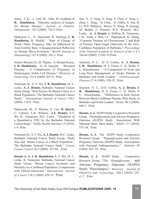Jones, J. K., L. Gill, M. John, M. Goddard, **I. R. Hambleton.** "Outcome Analysis of Surgery for Blount Disease." *Journal of Pediatric Orthopaedics* 29.7 (2009): 730-5. Print.

McKenzie C., N. Hanchard, R. Harding, **I. R. Hambleton,** B. Modell. "Rate of Change of Sickle Allele Frequency May be Influenced by Total Fertility Rate: A Sesquicentenary Reflection on Human Micro-Evolution." *British Journal of Haematology* 147.4 (2009): 582-3. Print.

Simms-Stewart, D., M. Thame, A. Heman-Keens, **I. R. Hambleton,** G. R. Serjeant. "Retained Placenta : A Complication of Pregnancy in Homozygous Sickle Cell Disease." *Obstetrics & Gynecology* 114.4 (2009): 825-8. Print.

Nemesure B., S. Y. Wu, **I. R. Hambleton,** M. C. Leske, **A. J. Hennis,** Barbados National Cancer Study Group. "Risk Factors for Breast Cancer in a Black Population: The Barbados National Cancer Study." *International Journal of Cancer* 124.1 (2009): 174-9. Print.

Pakseresht, M., S. Sharma, X. Cao, **R. Harris,** C. Caberto, L.R. Wilkens, **A.J. Hennis,** S.Y. Wu, B. Nemesure, M.C. Leske. "Validation of a Quantitative FFQ for the Barbados National Cancer Study." *Public Health Nutrition* 15 (2010): 1-9. Print

Nemesure B., S. Y. Wu, **A. J. Hennis,** M.C. Leske. Barbados National Cancer Study Group. "Body Size and Breast Cancer in a Black Population : The Barbados National Cancer Study." *Cancer Causes Control* 20.3 (2009): 387-94. Print.

**Hennis A. J., I. R. Hambleton,** S. Y. Wu, M. C. Leske, B. Nemesure. Barbados National Cancer Study Group. "Breast Cancer Incidence and Mortality in a Caribbean Population: Comparisons with African-Americans." *International Journal of Cancer* 124.2 (2009): 429-33. Print.

Jiao, X., Z. Yang, X. Yang, Y. Chen, Z. Tong, C. Zhao, J. Zeng, H. Chen, D. Gibbs, X. Sun, B. Li, W.S. Wakins,C. Meyer, X. Wang, D. Kasuga, M. Bedell, E. Pearson, R.N. Weinreb, M.C. Leske, **A. J. Hennis,** A. DeWan, B. Nemesure, L.B. Jorde, J. Hoh, J.F. Hejtmancik, K. Zhang. "Common Variants on Chromosome 2 and Risk of Primary Open-Angle Glaucoma in the Afro-Caribbean Population of Barbados." *Proceedings of the National Academy of Sciences of the U S A* 106.40 (2009): 17105-10 Print.

Smeeton, N. C., D. O. Corbin, **A. J. Hennis, I. R. Hambleton**, H. S. Fraser, C. D. Wolfe, P. U. Heuschmann. "A Comparison of Acute and Long-Term Management of Stroke Patients in Barbados and South London." *Cerebrovascular Diseases* 27.4 (2009): 328-35. Print.

Smeeton ,N. C., D.O. Corbin, **A. J. Hennis, I. R. Hambleton,** H. S. Fraser, C. D. Wolfe, P. U. Heuschmann. "Differences in Risk Factors Between Black Caribbean Patients With Stroke in Barbados and South London." *Stroke* 40.2 (2009): 640-3. Print.

**Hennis, A. J.** HAPO Study Cooperative Research Group. "Hyperglycaemia and Adverse Pregnancy Outcome (HAPO) Study: Associations With Maternal Body Mass Index." *BJOG 117* (2010): 575–84. Print.

**Hennis, A. J.** The HAPO Study Cooperative Research Group. "Hyperglycemia and Adverse Pregnancy Outcome (HAPO) Study: Associations with Neonatal Anthropometrics." *Diabetes* 58 (2009): 453–59. Print.

**Hennis, A. J.** HAPO Study Cooperative Research Group. "The Hyperglycemia and Adverse Pregnancy Outcome (HAPO) Study: Preeclampsia." *American Journal of Obstetrics and Gynecology* 202.3 (2010): 255. e1-7. Print.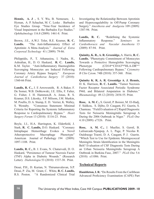**Hennis, A. J** ., S. Y. Wu, B. Nemesure, L. Hyman, A. P. Schachat, M. C. Leske . Barbados Eye Studies Group. "Nine-Year Incidence of Visual Impairment in the Barbados Eye Studies." *Ophthalmology* 116.8 (2009): 1461-8. Print.

Brown, J.E., A.W.J. Toler, R.E. Kramer, **R. C. Landis.** "The Anti-Inflammatory Effect of Aprotinin: A Meta-Analysis." *Journal of Extra Corporeal Technology* 41 ( 2009): 79-86.

Philippidis, P., T. Athanasiou, I. Nadra, H., Ashrafian, H., D. O. Haskard, **R. C. Landis,**  K.M. Taylor. "Anti-Inflammatory Haemoglobin Scavenging Monocytes are Induced Following Coronary Artery Bypass Surgery." *European Journal of Cardiothorac Surgery* 37 (2010): 1360-66 Print.

**Landis, R. C.,** J. E Arrowsmith, R. A Baker, F. De Somer, W.B. Dobkowski, J.E. Ellis, F. Falter, G. Fisher, J. H. Hammon,R. A. Jonas, R. S. Kramer, D.S. Likosky, F.P. Milsom, J.M. Murkin, M. Poullis, D. A. Stump, E. D. Verrier, K. Walley, S. Westaby. "Consensus Statement: Minimal Criteria for Reporting the Systemic Inflammatory Response to Cardiopulmonary Bypass." *Heart Surgery Forum* 13 (2010): E116-23. Print.

Boyle, J.J., H.A. Harrington, K. Elderfield, J. Stark, **R. C. Landis,** D.O. Haskard. "Coronary Intraplaque Hemorrhage Evokes a Novel Atheroprotective Macrophage Phenotype" American Journal of Pathology 194 (2009): 1097-1108. Print.

**Landis, R. C.,** B. J. Evans, N. Chaturvedi, D. O. Haskard, "Persistence of Tumour Necrosis Factor (TNF) Alpha in Diabetic Wounds." (Research Letter). *Diabetologia* 53 (2010): 1537-38. Print.

Desai, P.H., D. Kurian, N. Thirumavalavan, S.P. Desai, P. Ziu, M. Grant, C. White, **R. C. Landis,** R.S. Poston. "A Randomized Clinical Trial Investigating the Relationship Between Aprotinin and Hypercoagulability in Off-Pump Coronary Surgery." *Anesthesia and Analgesia* 109 (2009): 1387-94. Print.

Landis, R. C. "Redefining the Systemic Inflammatory Response." *Seminars in Cardiothoracic and Vascular Anesthesia* 13 (2009): 87-94. Print.

**Quimby, K. R., A. R. Greenidge,** A. Harris, **R. C. Landis.** "Phenotypic Commitment of Monocytes Towards a Protective Hemoglobin Scavenging Phenotype  $(CD14^{pos}CD163^{high}HLA-DR^{low})$ Following Cardiopulmonary Bypass." *Cytometry B Clin Cytom*. 74B (2010): 357-360. Print.

**Quimby K. R, A. R. Greenidge A. J. Hennis,**  D. K. Harrison, **R. C. Landis.** "Tumor Necrosis Factor Receptor Associated Periodic Syndrome P46L and Bilateral Amputation in Diabetes." *Rheumatology* 49.12 (2010): 2454-55. Print.

**Rose, A. M. C.,** S. Gerstl, P. Boisier, M. El-Hadj, F. Sidikou, S. Djibo, D. Caugant, P.J. Guerin, S. Chanteau. "Field Evaluation of 2 Rapid Diagnostic Tests for Neisseria Meningitidis Serogroup A During the 2006 Outbreak in Niger." *PLoS One* 4.10 (2009): e7326. Print.

**Rose, A. M. C.,** J. Mueller, S. Gerstl, B. Lafourcade-Njanpop, A. L. Page, P. Nicolas R. Ouédraogo Traoré, D. A. Caugant, P. J. Guerin. "Which Test to Use for Epidemic Meningococcal Meningitis Strain Identification in the Meningitis Belt? Evaluation of CSF Diagnostic Tests During an Urban Neisseria Meningitidis Serogroup A Outbreak in Burkina Faso, 2007." *PLoS One* 5.6 (2010): e11086. Print.

# **Technical Reports**

**Hambleton, I. R.** "Do Results From the Caribbean Advanced Proficiency Examination (CAPE) Part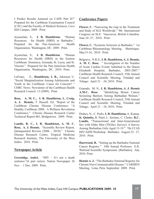I Predict Results Attained on CAPE Part II?" Prepared for the Caribbean Examination Council (CXC) and the Faculty of Medical Sciences, Cave Hill Campus. 2009. Print.

Jeyaseelan, S., **I. R. Hambleton.** "Human Resources for Health (HRH) in Barbados." Prepared for the Pan-American Health Organization. Washington, DC. 2009. Print.

Jeyaseelan, S., **I. R. Hambleton**. "Human Resources for Health (HRH) in the Eastern Caribbean: Dominica, Grenada, St. Lucia, and St. Vincent." Prepared for the Pan-American Health Organization. Washington, DC. 2010. Print.

LeFranc, E., **Hambleton, I. R.,** Atkinson U. "Social Marginalization Among Adolescents and Youth in the Caribbean: Cause for Concern? " CHRC News: Newsletter of the Caribbean Health Research Council. 13 (2009). Print.

**Rose, A. M. C., I. R. Hambleton, L. Craig, A. J. Hennis,** T. Hassell. Ed. "Report of the Caribbean Chronic Disease Conference: "A Healthy Caribbean 2008: A Wellness Revolution Conference." Chronic Disease Research Centre Technical Report 001, Bridgetown. 2009. Print.

**Landis, R. C., I. R. Hambleton, A. M. C. Rose, A. J. Hennis.** "Scientific Review Report, Quinquennial Review (2006 – 2010)." Chronic Disease Research Centre, Tropical Medicine Research Institute, The University of the West Indies. 2010. Print.

# **Newspaper Article**

**Greenidge, André.** "HIV – It's not a death sentence."(6 part series). Nation Newspaper 26 Nov. – 1 Dec. 2009. Print.

# **Conference Papers**

**Flower, C.** "Narrowing the Gap in the Treatment and Study of SLE Worldwide." 9th International Congress on SLE. Vancouver, British Columbia. June 24 -27, 2010. Print.

**Flower, C.** "Systemic Sclerosis in Barbados." 1st Caribbean Rheumatology Meeting. Martinique. May15-16, 2010. Print.

Belgrave, N.R.S., **I. R. Hambleton, A. J. Hennis, A. M. C. Rose.** " Investigation of the Number of Acute Cardiac Events Admitted to the Queen Elizabeth Hospital, Barbados, 2003-2007." Caribbean Health Research Council, 55th Annual Council and Scientific Meeting, Trinidad and Tobago. April 21 – 24, 2010. Print.

Granado, M. N., **I. R. Hambleton, A. J. Hennis A.M.C. Rose.** "Identifying Breast Cancer Screening Barriers Among Barbadian Women." Caribbean Health Research Council, 55th Annual Council and Scientific Meeting, Trinidad and Tobago. April 21 – 24, 2010. Print.

Drakes, N., C. Perks, **I. R. Hambleton,** A. Kumar, **K. Quimby,** R. Patel, L. Soriano, C. Clarke, **R.C. Landis.** "Transactional and Inter-Generational Sex with Older Men (TIGSex Survey): A Survey Among Barbadian Girls Aged 15-19." 7th CCAS HIV/AIDS Workshop. Barbados. August 22– 27, 2010. Print.

**Harewood, R.** "Setting up the Barbados National Cancer Registry." 10th Annual Professor E.R. Walrond Scientific Symposium. [Barbados]. July 2010. Print.

**Hennis A. J.** "The Barbados National Registry for Chronic Non-Communicable Disease." CARMEN Meeting, Lima, Peru. September 2009. Print.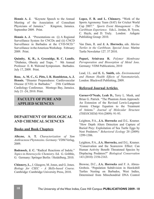**Hennis A. J.** "Keynote Speech to the Annual Meeting of the Association of Consultant Physicians of Jamaica." Kingston, Jamaica. September 2009. Print.

**Hennis A. J.** "Presentations on (i) A Regional Surveillance System for CNCDs and (ii) CNCD Surveillance in Barbados at the CVD-NCD." Surveillance in the Americas Workshop. February 2009. Print.

**Quimby, K. R., A. Greenidge, R. C. Landis.**  "Diabetes, Obesity and Traps. " 9th Annual Professor E. R. Walrond Symposium. Barbados. July 17, 2009. Print.

**Rose, A. M. C., G. Pitts, I. R. Hambleton, A. J. Hennis.** "Disaster Preparedness: Cardiovascular Disease (CVD) in Barbados." 25th Caribbean Cardiology Conference. Montego Bay, Jamaica. July 21 -24, 2010. Print.

# **FACULTY OF PURE AND APPLIED SCIENCES**

# **DEPARTMENT OF BIOLOGICAL AND CHEMICAL SCIENCES**

### **Books and Book Chapters**

**Alleyne, A. T.** *Characterization of Yam Anthracnose Phytotoxins. Germany:* VDM Verlag, 2009.

**Badenock, J. C.** "Radical Reactions of Indole." *Topics in Heterocyclic Chemistry.* Ed. G. Gribble, G. Germany: Springer Berlin / Heidelberg, 2010.

**Chinnery, L.**, J. Glasgow, M. Jones, and G. Jones. *Biology for CSEC - A Skills-based Course.*  Cambridge: Cambridge University Press, 2010.

**Lopez, F. B. and L. Chinnery.** "Work of the Sports Agronomy Team (SAT) for Cricket World Cup 2007." *Sports Event Management – The Caribbean Experience.* Eds.L. Jordan, B. Tyson, C. Hayle, and D. Truly. London: Ashgate Publishing Group: 2010.

Van Dam, R. and **J. A. Horrocks,** eds. *Marine Turtles in the Caribbean. Special Issue.* Marine Turtle Newsletter 127. 37 2010.

**Popuri, Srinivasa R.** *Polymer Membrane Pervaporation and Biosorption of Metal Ions.*  Germany: VDM Publications, 2010

Lead, J.L. and **E. L. Smith,** eds. *Environmental and Human Health Effects of Nanomaterials,*  London: Blackwell Publishing, 2009.

# **Refereed Journal Articles**

**Garner-O'Neale, Leah D.,** Terry L. Meek, and Brian G. Patrick. "The Phantom Atom Approach: An Extension of the Revised Lewis-Langmuir Atomic Charge Equation to the Treatment of Anions." *Journal of Molecular Structure (THEOCHEM)* 916 (2009): 91-93.

Leighton, P.A., **J.A. Horrocks** and D.L. Kramer. "How Depth Alters Detection and Capture of Buried Prey: Exploitation of Sea Turtle Eggs by Nest Predators." *Behavioral Ecology* 20 (2009): 1299-1306.

Leighton, P.A., **J.A. Horrocks,** and D.L. Kramer. "Conservation and the Scarecrow Effect: Can Human Activity Benefit Threatened Species by Displacing Predators?" *Biological Conservation*  143 (2010): 2156-2163.

Browne, D.C., **J.A. Horrocks** and F. A. Abreu-Grobois. "Population Subdivision in Hawksbill Turtles Nesting on Barbados, West Indies, Determined from Mitochondrial DNA Control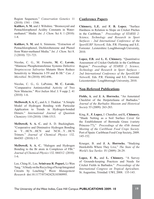Region Sequences." *Conservation Genetics* 11  $(2010): 1541 - 1546.$ 

**Kulikov, S. M.** and J. Wiltshire. "Bromoxynil and Pentachlorophenol Acidity Constants in Watermethanol." Media *Int. J. Chem.* Sci 8. 1 (2010): 1-8.

**Kulikov, S. M.** and A. Simmons. "Extraction of Pentachlorophenol, Dichlorobenzene and Phenol from Water-methanol Media." *Int. J. Chem.* Sci 8. 2 (2010): 721-723.

Nicolas, C. G., M. Frenette, **M. C. Lavoie.**  "Mannose Phosphotransferase Systems Defective *Streptococcus Salivarius* Mutants Show Reduce Sensitivity to Mutacins I-T9 and R-3B." *Can. J. Microbiol.* 56 (2010): 692-696..

Nicolas, C. G., G. LaPointe, **M. C. Lavoie.**  "Comparative Antimicrobial Activity of Two New Mutacins." *West Indian Med*. J. 9 supp 2. 41 (2010): 1-6.

**McDowell, S. A. C.,** and A. J. Thakkar. "A Simple Model of Hydrogen Bonding with Particular Application to Trends in Hydrogen-bonded Dimers." *International Journal of Quantum Chemistry* 110 (2010): 1506-1513.

**McDowell, S. A. C.** and A. D. Buckingham. "Cooperative and Diminutive Hydrogen Bonding in Y…HCN…HCN and NCH…Y…HCN Trimers." *Journal of Chemical Physics* 132. 064303 (2010):1-5.

**McDowell, S. A. C.** "Halogen and Hydrogen Bonding to the Br atom in Complexes of FBr." *Journal of Chemical Physics* 132. 044312 (2010): 1-6.

Lee, Ching H., Lee, **Srinivasa R. Popuri,** Li-Wen Tang. "A Study on the Recycling of Scrap Integrated Circuits by Leaching." *Waste Management Research* doi:10.1177/0734242X10380995.

# **Conference Papers**

**Chinnery, L.E.** and **F. B. Lopez.** "Surface Hardness in Relation to Slope on Cricket Pitches in the Caribbean." *Proceedings of STARSS 2: Science, Technology and Research in Sport Surfaces - 2nd International Conference of the SportSURF NetworK.* Eds. P.R. Fleming and S.E. Forrester . Leistershire: Loughborough University, 2010.

**Lopez, F.B.** and **L. E. Chinnery.** "Quantitative Assessment of Cricket Outfields in the Caribbean Region." *Proceedings of STARSS 2: Science, Technology and Research in Sport Surfaces - 2nd International Conference of the SportSURF NetworK.* Eds. P.R. Fleming and S.E. Forrester. Leicestershire: Loughborough University, 2010.

# **Non-Refereed Publications**

**Fields, A.** and **J. A. Horrocks.** "An Annotated Checklist of the Herpetofauna of Barbados." *Journal of the Barbados Museum and Historical Society* 55 (2009): 263-283.

King, R., **F. Lopez,** J. Chandler, and **L. Chinnery.**  "Shade Netting as a Soil Surface Cover for the Establishment of Bermuda Grass (variety Princess-77)," *Proceedings of the 45th Annual Meeting of the Caribbean Food Crops Society.*  Port of Spain: Caribbean Food Crop Society, 2009. 145-152.

Krueger, B. and **J. A. Horrocks.** "Studying Hawksbills Where They Live," *The State of the World's Sea Turtles* IV (2009): 28-29.

**Lopez, F. B.,** and **L. Chinnery.** "A Survey of Grounds-keeping Practices and Needs for Cricket Fields in Barbados." *Proceedings of the International Congress on Tropical Agriculture.*  St. Augustine, Trinidad: UWI, 2008. 135-143.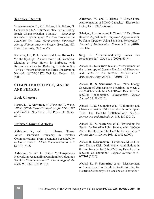# **Technical Reports**

Varela-Acevedo, E., K.L. Eckert, S.A. Eckert, G. Cambers and **J. A. Horrocks**. "Sea Turtle Nesting Beach Characterization Manual." *Examining the Effects of Changing Coastline Processes on Hawksbill Sea Turtle (Eretmochelys imbricata) Nesting Habitat, Master's Project.* Beaufort, NC: Duke University, 2009. 46-97.

Knowles, J.E., K. L. Eckert and **J. A. Horrocks.**  "In the Spotlight: An Assessment of Beachfront Lighting at Four Hotels in Barbados, with Recommendations for Reducing Threats to Sea Turtles." Wider Caribbean Sea Turtle Conservation Network (WIDECAST) Technical Report 12. 2009.

# **COMPUTER SCIENCE, MATHS AND PHYSICS**

#### **Book Chapters**

Hanzo, L., **Y. Akhtman,** M. Jiang and L. Wang. *MIMO-OFDM Turbo-Transceivers for LTE, WIFI and WIMAX.* New York: IEEE Press-John Wiley, 2010.

#### **Refereed Journal Articles**

**Akhtman, Y.,** and L. Hanzo. "Power Versus Bandwidth Efficiency in Wireless Communications: From Economic Sustainability to Green Radio." *China Communications* 7. 2 (2010): 6-15.

**Akhtman, Y.** and L. Hanzo. "Heterogeneous Networking: An Enabling Paradigm for Ubiquitous Wireless Communications." *Proceedings of the IEEE* 98. 2 (2010):135-138.

**Ahktman, Y.,** and L. Hanzo. " Closed-Form Approximation of MIMO Capacity." Electronics Letter, 45. 1 (2009): 68-69.

Sahai, A., R. Antoine and **P. Chami.** "A Two Phase Iterative Algorithm for Improved Approximation by Szasz Operator Using Statistical Perspective." *Journal of Mathematical Research* 2. 2 (2010): 123-127.

**Sing, B.** "Non-unimodularity, Actes des Rencontres du" *CIRM* 1. 1 (2009): 69-74.

Abbasi, R., **S. Seunarine** et al., "Measurement of the Anisotropy of Cosmic Ray Arrival Directions with IceCube: The IceCube Collaboration." *Astrophysics Journal* 718. 1 (2010): 194.

Abbasi, R., **S. Seunarine** et al. "The Energy Spectrum of Atmospheric Neutrinos between 2 and 200 TeV with the AMANDA-II Detector: The IceCube Collaboration." *Astroparticle Physics Journal* 34. 48 (2010).

Abbasi, R., **S. Seunarine** et al. "Calibration and Charac- terization of the IceCube Photomultiplier Tube: The IceCube Collaboration." *Nuclear Instruments and Methods,* A 618. 139 (2010).

Abbasi, R., **S. Seunarine** et al. "Extending the Search for Neutrino Point Sources with IceCube Above the Horizon: The IceCube Collaboration." *Physics Review Letters* 103. 221102 (2009).

Abbasi, R., **S. Seunarine**. "Limits on a Muon Flux from Kaluza-Klein Dark Matter Annihilations in the Sun from the IceCube 22-String Detector: The IceCube Collaboration." *Physics Review D* 81 057101 (2010).

Abbasi, R., **S. Seunarine** et al. "Measurement of Sound Speed vs Depth in South Pole Ice for Neutrino Astronomy: The IceCube Collaboration."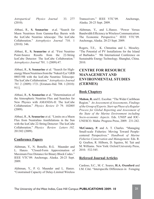*Astropartical Physics Journal* 33. 277 (2010).

Abbasi, R., **S. Seunarine** et.al. "Search for Muon Neutrinos from Gamma-Ray Bursts with the IceCube Neutrino telescope: The IceCube Collaboration." *Astrophysics Journal* 710. 1 (2010): 346.

Abbasi, R., **S. Seunarine** et al. "First Neutrino Point-Source Results from the 22-String IceCube Detector: The IceCube Collaboration." *Astrophysics Journal* 701. 1 (2009):47.

Abbasi, R., **S. Seunarine** et al. "Search for Highenergy Muon Neutrinos from the 'Naked-Eye' GRB 080319B with the IceCube Neutrino Telescope: The IceCube Collaboration." *Astrophysics Journal 701.* 2 (2009): 1721. [Erratum-ibid. 708. 1 (2010): 911].

Abbasi, R., **S. Seunarine** et al. "Determination of the Atmospheric Neutrino Flux and Searches for New Physics with AMANDA-II: The IceCube Collaboration." *Physics Review D* 79. 102005 (2009).

Abbasi, R., **S. Seunarine** et al. "Limits on a Muon Flux from Neutralino Annihilations in the Sun with the IceCube 22-String Detector: The IceCube Collaboration." *Physics Review Letters 102.*  201302 (2009).

# **Conference Papers**

Akhtman, Y., N. Bonello, R.G. Maunder and L. Hanzo. "Closed-Form Approximation of Maximum Free Distance for Binary Block Codes." IEEE VTC'09. Anchorage, Alaska. 20-23 Sept. 2009.

Akhtman, Y., P. G. Maunder and L. Hanzo. "Constrained Capacity of Delay-Limited Wireless Transceivers." IEEE VTC'09. Anchorage, Alaska. 20-23 Sept. 2009.

Akhtman, Y., and L.Hanzo. "Power Versus Bandwidth Efficiency in Wireless Communication: The Economic Perspective." IEEE VTC'09. Anchorage, Alaska. 20-23 Sept. 2009.

Rogers, T.E., K. Chmutina and L. Moseley. "The Potential of PV Installations for the Island of Barbados." 9th International Conference on Sustainable Energy Technology. Shanghai, China. 2010.

# **CENTRE FOR RESOURCE MANAGEMENT AND ENVIRONMENTAL STUDIES (CERMES)**

# **Book Chapters**

**Mahon, R.** and E. Escobar. "The Wider Caribbean Region." *An Assessment of Assessments, Findings of the Group of Experts. Start-up Phase of a Regular Process for Global Reporting and Assessment of the State of the Marine Environment including Socio-economic Aspects.* Eds. UNEP and IOC-UNESCO. Malta: Progress Press, 2009. 231-242.

**McConney, P.** and A. T. Charles. "Managing Small-scale Fisheries: Moving Toward Peoplecentered Perspectives." *Handbook of Marine Fisheries Conservation and Management.* Eds. R. Q. Grafton, R. Hilborn, D. Squires, M. Tait and M. Williams. New York: Oxford University Press, 2010. 532-545.

### **Refereed Journal Articles**

Cardoso, S.C., M. C. Soares, **H.A. Oxenford** and I.M. Côté. "Interspecific Differences in Foraging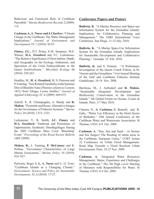Behaviour and Functional Role of Caribbean Parrotfish." *Marine Biodiversity Records* 2 (2009): 1-6.

**Cashman, A., L. Nurse and J. Charlery.** "Climate Change in the Caribbean: The Water Management Implications." *Journal of Environment and Development* 19. 1 (2010): 42-67.

**Finney, J.C.,** D.T. Pettay, E.M. Sampayo, M.E. Warner, **H.A. Oxenford** and T.C. LaJeunesse. "The Relative Significance of Host-habitat, Depth, and Geography on the Ecology, Endemism, and Speciation of the Coral Endosymbionts in the Genus *Symbiodinium." Microbial Ecology* 60 (2010): 250-263.

Headley, M., **H. A. Oxenford,** M. S. Peterson and P. Fanning. "Size Related Variability in the Summer Diet of Blackfin Tuna (*Thunnus atlanticus* Lesson, 1831) from Tobago, Lesser Antilles." *Journal of Applied Ichthyology* 25. 6 (2009): 669-675.

Jentoft, S., R. Chuenpagdee, A. Bundy and **R. Mahon.** "Pyramids and Roses: Alternative Images for the Governance of Fisheries Systems." *Marine Policy* 34 (2010): 1315–1321.

LaJeunesse, T., R. Smith, **J.C. Finney** and **H.A. Oxenford.** "Outbreak and Persistence of Opportunistic Symbiotic Dinoflagellages During the 2005 Caribbean Mass Coral 'Bleaching' Event." *Proceedings of the Royal Society Bulletin*  1405 (2009).

**Mahon, R.,** L. Fanning, **P. McConney** and R. Pollnac. "Governance Characteristics of Large Marine Ecosystems." *Marine Policy* 34 (2010): 919–927.

Pulwarty, Roger S, **L. A. Nurse** and U. O. Trotz. "Caribbean Islands in a Changing Climate." *Environment: Science and Policy for Sustainable Development,* 52, 6 (2010): 17-27.

# **Conference Papers and Posters**

**Baldwin, K**. "A Marine Resource and Space-use Information System for the Grenadine Islands: Implications for Collaborative Planning and Management." The ESRI International Users Conference. San Diego. 11-15 July. 2010.

**Baldwin, K.** "A Marine Space-Use Information System for the Grenadine Islands: Implications for Sustainable Development and Collaborative Planning." Grenada. 19 Feb. 2010.

Baldwin, K. and S. Punnett. "A Preliminary Investigation of the Queen Conch Fishery in St. Vincent and the Grenadines." 61st Annual Meeting of the Gulf and Caribbean Fisheries Institute Guadeloupe. 10-14 Nov. 2008.

Barriteau, M., J. Ambsdorf and **R. Mahon.**  "Sustainable Integrated Development and Biodiversity Conservation in the Grenadine Islands." 5th Global Forum on Oceans, Coasts & Islands. Paris. 3-7 May 2010.

Charara, N., **A. Cashman,** R. Bonnell, and R. Gehr,. "Water Use Efficiency in the Hotel Sector of Barbados." 19th Annual Conference of the Caribbean Water and Wastewater Association. St Thomas, USVI. 6-9 Oct. 2009.

**Cashman, A**. "Sun, Sea and Sand – or Storms and Sea Surges? The flooding of urban areas in the Caribbean. European Union." COST Action 22 Conference on Urban Flood Management: Road Map Towards a Flood Resilient Urban Environment. Paris. 25-27 Nov. 2009.

**Cashman, A.** "Integrated Water Resources Management: Status, Experience and Challenges in the Caribbean." The 5th High Level Meeting of Ministers with Responsibility for Water. St Thomas, USVI. 4-5 Oct. 2009.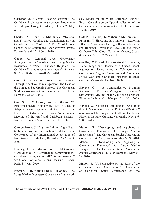**Cashman, A.** "Second Guessing Drought." The Caribbean Basin Water Management Programme Workshop on Drought. Castries, St Lucia. 28 May 2010.

Charles, A.T., and **P. McConney**. "Tourism and Fisheries: Conflict and Complementarity in Canada and the Caribbean." The Coastal Zone Canada 2010 Conference. Charlottetown, Prince Edward Island. 25-29 July 2010.

**Cooke, A.** "Regional Level Governance Arrangements for Transboundary Living Marine Resources in Wider Caribbean Region." The Caribbean Studies Association Annual Conference. St. Peter, Barbados. 24-28 May 2010.

**Cox, S.** "Governing Small-scale Fisheries Through Adaptive Co-management: The Case of the Barbados Sea Urchin Fishery." The Caribbean Studies Association Annual Conference. St. Peter, Barbados. 24-28 May 2010.

**Cox, S., P. McConney and R. Mahon.** "A Resilience-based Framework for Evaluating Adaptive Co-management of the Sea Urchin Fisheries in Barbados and St. Lucia." 62nd Annual Meeting of the Gulf and Caribbean Fisheries Institute. Cumana, Venezuela. 1-6 Nov. 2009.

**Cumberbatch, J.** "Eight to Infinity: Eight Steps to Infinite Joy and Satisfaction." 1st Caribbean Conference of the International Association of Facilitators. St. Michael, Barbados. 22-23 Sept. 2009.

Fanning, L., **R. Mahon and P. McConney.**  "Applying the LME Governance Framework to the Caribbean Flyingfish and MPA Subframeworks." 5th Global Forum on Oceans, Coasts & Islands. Paris. 3-7 May 2010.

Fanning, L., **R. Mahon and P. McConney**. "The Large Marine Ecosystem Governance Framework

as a Model for the Wider Caribbean Region." Expert Consultation on Operationalisation of the Caribbean Sea Commission. Cave Hill, Barbados. 7-9 July 2010.

Goff, P., L. Fanning, **R. Mahon, P. McConney, K. Parsram,** T. Shaw, and B. Simmons. "Exploring Effective Governance Linkages Between National and Regional Governance Levels in the Wider Caribbean." 5th Global Forum on Oceans, Coasts & Islands. Paris. 3-7 May 2010.

**Gooding, C.E., and H.A. Oxenford.** "Estimating Home Range and Density of a Queen Conch Aggregation Using Acoustic Telemetry and Conventional Tagging." 62nd Annual Conference of the Gulf and Caribbean Fisheries Institute. Cumana, Venezuela. 1-6 Nov. 2009.

Haynes, C. "A Communicative Planning Approach to Fisheries Management planning." 61st Annual Meeting of the Gulf and Caribbean Fisheries Institute. Guadeloupe. 10-14 Nov. 2009.

**Haynes, C.** "Consensus Building in Developing the CRFM Common Fisheries Policy and Regime." 62nd Annual Meeting of the Gulf and Caribbean Fisheries Institute. Cumana, Venezuela. Nov. 1-6. 2009. Poster.

**Mahon, R.** "Developing and Applying a Governance Framework for Large Marine Ecosystems." The Caribbean Studies Association Conference. St. Peter, Barbados. May 24-28. 2010. Mahon, R. "Developing and Applying a Governance Framework for Large Marine Ecosystems." The Caribbean Studies Association Annual Conference. St. Peter, Barbados. May 24- 28, 2010.

**Mahon, R.** "A Perspective on the Role of the Caribbean Sea Commission." Association of Caribbean States Conference on the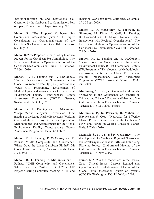Institutionalization of, and International Co-Operation by the Caribbean Sea Commission. Port of Spain, Trinidad and Tobago. 6-7 Aug. 2009.

**Mahon R.** "The Proposed Caribbean Sea Commission Information System." The Expert Consultation on Operationalisation of the Caribbean Sea Commission. Cave Hill, Barbados. 6-7 July 2010.

**Mahon R.** "The Proposed Science Policy Interface Process for the Caribbean Sea Commission." The Expert Consultation on Operationalisation of the Caribbean Sea Commission. Cave Hill, Barbados. 7-9 July 2010.

**Mahon, R.,** L. Fanning and **P. McConney.**  "Further Observations on Governance in the Global Environment Facility (GEF) International Waters (IW) Programme." Development of Methodologies and Arrangements for the Global Environment Facility Transboundary Waters Assessment Programme (TWAP). Geneva, Switzerland. 12-14 July 2010.

**Mahon, R., L.** Fanning and **P. McConney.**  "Large Marine Ecosystem Governance." First meeting of the Large Marine Ecosystems Working Group of the GEF Project for Development of Methodologies and Arrangements for the Global Environment Facility Transboundary Waters Assessment Programme. Paris. 3-5 Feb. 2010.

**Mahon, R.,** L. Fanning, **P. McConney** and R. Pollnac. "LME Complexity and Governance: Where Does the Wider Caribbean Fit In?" 5th Global Forum on Oceans, Coasts & Islands. Paris. 3-7 May 2010.

**Mahon, R.,** L. Fanning, **P. McConney** and R Pollnac, "LME Complexity and Governance: Where Does the Caribbean Fit In?" CLME Project Steering Committee Meeting (SCM) and Inception Workshop (IW). Cartagena, Colombia. 29-30 Sept. 2009.

**Mahon R., P. McConney, K. Parsram, B. Simmons,** M. Didier, P. Goff, L. Fanning, R. Haywood and T. Shaw. "National Level Interactions with Regional Organizations." The Expert Consultation on Operationalisation of the Caribbean Sea Commission. Cave Hill, Barbados. 7-9 July 2010.

**Mahon, R.,** L. Fanning and **P. McConney.**  "Observations on Governance in the Global Environment Facility (GEF) International Waters (IW) Programme." Development of Methodologies and Arrangements for the Global Environment Facility Transboundary Waters Assessment Programme (TWAP). Arendal, Norway. 23-25 Jun. 2010.

**McConney, P.,** S. Leid, K. Dennis and S. McIntosh. "Networks in the Governance of Fisheries in Trinidad and Tobago." 62nd Annual Meeting of the Gulf and Caribbean Fisheries Institute. Cumana, Venezuela. 1-6 Nov. 2009. Poster.

**McConney, P., K. Parsram, R. Mahon, C. Haynes** and **S. Cox.** "Networks for Effective Marine Resource Governance in the Caribbean." 5th Global Forum on Oceans, Coasts & Islands. Paris. 3-7 May 2010.

McIntosh, S., M. Lay and **P. McConney.** "The development of a Caribbean Regional Network of Fisherfolk Organisations and its Role in Influencing Fisheries Policy." 62nd Annual Meeting of the Gulf and Caribbean Fisheries Institute. Cumana, Venezuela. 1-6 Nov. 2009.

**Nurse, L. A.** "Earth Observations in the Coastal Zone: Critical Issues, Lessons Learned and Opportunities for Collaboration." Meeting of the Global Earth Observation System of Systems (GEOSS). Washington DC. 18-20 Nov. 2009.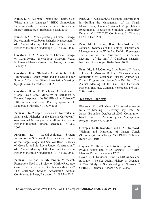**Nurse, L. A.** "Climate Change and Energy Use: Where are the Linkages?" BIDC Symposium Entrepreneurship, Innovation and Renewable Energy. Bridgetown, Barbados. 5 Mar. 2010.

**Nurse. L.A.** "Incorporating Climate Change Projections into Caribbean Fisheries Management." 61st Annual Meeting of the Gulf and Caribbean Fisheries Institute. Guadeloupe. 10-14 Nov. 2008.

**Oxenford, H.A.** "Impacts of Climate Change on Coral Reefs." International Museum Week. Folkestone Marine Museum. St, James, Barbados. 17 May 2010.

**Oxenford, H.A.** "Barbados Coral Reefs: High Temperatures, Green Water and the Outlook for Summer." Barbados Divers Association Meeting. Speightstown, Barbados. 4 Jul. 2010.

**Oxenford, H. A.,** R. Roach and A. Brathwaite. "Large Scale Coral Mortality in Barbados: A Delayed Response to the 2005 Bleaching Episode." 11th International Coral Reef Symposium. Ft. Lauderdale, Florida. 7-11 July 2008.

**Parsram, K.** "People, Issues and Networks in Small-scale Fisheries in the Eastern Caribbean." 62nd Annual Meeting of the Gulf and Caribbean Fisheries Institute. Cumana, Venezuela. 1-6 Nov. 2009.

Parsram, K. "Social-ecological System Interactions in Small-scale Fisheries: Case Studies of the Large Pelagic and Shallow Reef Fisheries of Grenada and St. Lucia Under Construction." 61st Annual Meeting of the Gulf and Caribbean Fisheries Institute. Guadeloupe. 10-14 Nov. 2008.

**Parsram, K.** and **P. McConney.** "Research Framework Used in a Project on Marine Resource Governance in the Eastern Caribbean (MarGov)." The Caribbean Studies Association Annual Conference. St Peter, Barbados. 24-28 May 2010.

Pena, M. "The Use of Socio-economic Information in Guiding the Management of the Negril Marine Park, Jamaica." Annual Virgin Islands Experimental Program to Stimulate Competitive Research (VI-EPSCoR) Conference. St. Thomas, USVI. 4 Dec. 2009.

**Pena, M.,** C. Parker, **H.A. Oxenford** and A. Johnson. "Synthesis of the Biology Fisheries and Management of the White Sea Urchin, *Tripneustes Ventricosus,* in the Caribbean." 61st Annual Meeting of the Gulf & Caribbean Fisheries Institute. Guadeloupe. 10-14 Nov. 2008.

**Pena, M., P. McConney,** L. Arthurton, C. Isaac, J. Leslie, L. Moss and R. Price. "Socio-economic Monitoring by Caribbean Fishery Authorities: Project Progress and Some Site Results." 62nd Annual Meeting of the Gulf and Caribbean Fisheries Institute. Cumana, Venezuela. 1-6 Nov. 2009. Poster.

# **Technical Reports**

Blackman, K. and S. Almerigi. "Adopt-the-reserve Initiative Meeting." Discovery Bay Hotel, St James, Barbados. October 28 2009. Communitybased Coral Reef Monitoring and Management Project Report No. 6. 2009.

**Georges, J., R. Ramdeen** and **H.A. Oxenford.**  "Fishing and Marketing of Queen Conch (Strombus gigas) in Tobago." CERMES Technical Report 23. 2010.

**Haynes, C.** "Report on Activities Sponsored by Private Sector and NGO Partners." CERMES MarGov Project Document 17. 2010.

Nayar, R., I. Davidson-Hunt, **P. McConney** and B. Davy. "The Sea Urchin Fishery in Grenada: A Case Study of Social-ecological Networks." CERMES Technical Report No. 24. 2009.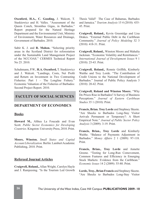**Oxenford, H.A., C. Gooding,** J. Walcott, T. Staskiewicz and H. Valles. "Assessment of the Queen Conch, Strombus Gigas, in Barbados." Report prepared for the Natural Heritage Department and the Environmental Unit, Ministry of Environment, Water Resources and Drainage, Government of Barbados. 2010.

Sabir K. J. and **R. Mahon.** "Selecting priority areas in the Scotland District for reforestation under the Sustainable Land Management Project of the NCC/OAS." CERMES Technical Report No 25. 2010.

Schuhmann, P.W., **H.A. Oxenford,** T. Staskiewicz and J. Walcott. "Landings, Costs, Net Profit and Return on Investment in Two Contrasting Fisheries: Part 1 – The Longline Fishery." Economic Valuation of the Fisheries of Barbados: Second Project Report. 2010.

# **FACULTY OF SOCIAL SCIENCES**

# **DEPARTMENT OF ECONOMICS**

#### **Books**

**Howard M.,** Althea La Foucade and Evan Scott. *Public Sector Economics for Developing Countries.* Kingston: University Press, 2010. Print.

**Moore, Winston.** *Small States and Capital Account Liberalization.* Berlin: Lambert Academic Publishing, 2010. Print.

### **Refereed Journal Articles**

**Craigwell, Roland.,** Allan Wright, Carolyn Hayle and J. Ramjeesing. "Is the Tourism Led Growth Thesis Valid? The Case of Bahamas, Barbados and Jamaica." *Tourism Analysis* 15 4 (2010): 435- 45. Print.

**Craigwell, Roland.,** Kevin Greenidge and Lisa Drakes. "External Public Debt in the Caribbean Community." *Journal of Policy Modeling* 32 3 (2010): 418-31. Print.

**Craigwell, Roland.,** Winston Moore and Mahalia Jackman. "Economic Volatility and Remittances." *International Journal of Development Issues* 9 1 (2010): 25-43. Print.

**Craigwell, Roland.,** Ronnie Griffith, Kimberly Waithe and Troy Lorde. "The Contribution of Credit Unions to the National Development of Barbados." Journal of Public Policy Analysis 3 (2010): 20-42. Print.

**Craigwell, Roland and Winston Moore.** "Why Do Prices Rise in Barbados? A Survey of Business Perceptions." *Journal of Eastern Caribbean Studies* 35 1 (2010): Print.

**Francis, Brian. Troy Lorde** and Stephney Skeete. "Are Shocks to Barbados Long-Stay Visitor Arrivals Permanent or Temporary?: A Short Empirical Note." *Journal of Public Sector Policy Analysis* 3 (2009): 3-19. Print.

**Francis, Brian., Troy Lorde** and Kimberly Waithe. "Balance of Payments Adjustment in Barbados." *Money Affairs* 2 1 (2009): 97-118. Print.

**Francis, Brian., Troy Lorde** and Annette Greene. "Testing for Long-Run Comovement, Common Features and Efficiency in Emerging Stock Markets: Evidence from the Caribbean." *Economic Issues* 14 2 (2009): 55-80. Print.

**Lorde, Troy., Brian Francis** and Stephney Skeete. "Are Shocks to Barbados Long-Stay Visitor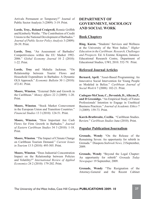Arrivals Permanent or Temporary?" Journal of Public Sector Analysis 3 (2009): 3-19. Print.

**Lorde, Troy., Roland Craigwell,** Ronnie Griffith and Kimberly Waithe. "The Contribution of Credit Unions to the National Development of Barbados." *Journal of Public Sector Policy Analysis* 3 (2009): 20-39. Print.

**Lorde, Troy.** "An Assessment of Barbados' Competitiveness within the EU Market 1992- 2006." *Global Economy Journal* 10 2 (2010): 1-22. Print.

**Lorde, Troy** and Mahalia Jackman. "On Relationship between Tourist Flows and Household Expenditure in Barbados: A Dynamic OLS Approach." *Economic Bulletin* 30 1 (2010): 472-81. Print.

**Moore, Winston.** "External Debt and Growth in the Caribbean." *Money Affairs* 22 2 (2009): 1-20. Print.

**Moore, Winston**. "Stock Market Comovement in the European Union and Transition Countries." *Financial Studies* 13 3 (2010): 124-51. Print.

**Moore, Winston.** "How Important Are Cash Flows for Firm Growth in Barbados." *Journal of Eastern Caribbean Studies* 34 3 (2010): 1-18. Print.

**Moore, Winston**. "The Impact of Climate Change on Caribbean Tourism Demand." *Current Issues in Tourism* 13 5 (2010): 495-505. Print.

**Moore, Winston**. "Does Industrial Concentration Impact on the Relationship between Policies and Volatility?" *International Review of Applied Economics* 24 2 (2010): 179-202. Print.

# **DEPARTMENT OF GOVERNMENT, SOCIOLOGY AND SOCIAL WORK**

# **Book Chapters**

**Ring, Karen.** "Students' Services and Wellness at the University of the West Indies." *Higher Education in the Caribbean: Research, Challenges and Prospects.* Ed. A Ezenne. Kingston, Jamaica: Educational Research Centre, Department of Educational Studies, UWI, 2010. 552-79. Print.

# **Refereed Journal Articles**

**Bernard, April.** "Asset-Based Programming: An Innovative Social Intervention for Young People as Modeled in Belize." *Caribbean Journal of Social Work* 6 7 (2008): 102-21. Print.

**Cadogan-McClean, C., Devonish, D., Alleyne,P., and D Greenidge.** "An Empirical Study of Future Professionals' Intention to Engage in Unethical Business Practices." *Journal of Academic Ethics* 7 3 (2009): 159-73. Print.

**Karch-Brathwaite, Cecilia.** "Caribbean Studies. Review." *Caribbean Studies* June (2010). Print.

# **Popular Publication/Journalism**

**Grenade, Wendy** "On the Release of the Remaining Seven: An opportunity for rebirth in Grenada." Diaspora *Stabroek News,* 21September, 2009.

**Grenade, Wendy** "Beyond the Legal Chapter: An opportunity for rebirth" *Grenada Today Newspaper* 19 September, 2009.

**Grenade, Wendy** "The Resignation of the Attorney-General and the Recent Cabinet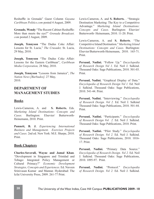Reshuffle in Grenada" Guest Column *Guyana Caribbean Politics.com* posted 4 August, 2009.

**Grenade, Wendy** "The Recent Cabinet Reshuffle: More than meets the eye?" *Grenada Broadcast. com* posted 2 August, 2009.

**Joseph, Tennyson** "The Dudus Coke Affair: Lessons for St. Lucia," *The Crusader,* St. Lucia, 29 May, 2010.

**Joseph, Tennyson** "The Dudus Coke Affair: Lessons for the Eastern Caribbean", *Caribbean Media Corporation,* 28 May, 2010.

**Joseph, Tennyson** "Lessons from Jamaica", *The Nation News [Barbados],* 27 May, 2010.

# **DEPARTMENT OF MANAGEMENT STUDIES**

### **Books**

Lewis-Cameron, A. and **S. Roberts.** Eds. *Marketing Island Destinations- Concepts and Cases.* Burlington: Elsevier/ Butterworth-Heinemann, 2010. Print.

**Punnett, B. J.** *Experiencing International Business and Management. Exercises Projects and Cases.* 2nd ed. New York: M.E. Sharpe, 2010. Print.

### **Book Chapters**

**Charles-Soverall, Wayne and Jamal Khan**. "Development in Singapore and Trinidad and Tobago: Integrated Policy Management or Cultural Primacy?" *Economic Development Strategies, Concepts and Experiences.* Ed. Naveen Srinivasan Kumar and Mannar. Hyderabad: The Icfai University Press, 2009. 261-77 Print.

Lewis-Cameron, A. and **S. Roberts.** . "Strategic Destination Marketing: The Key to a Competitive Advantage." *Marketing Island Destinations: Concepts and Cases.* Burlington: Elsevier/ Butterworth- Heinemann, 2010. 11-20. Print.

Lewis-Cameron, A. and **S. Roberts**. "The Competitive Island Destination." *Marketing Island Destinations: Concepts and Cases.* Burlington: Elsevier/Butterworth-Heinemann, 2010. 165-71. Print.

**Persaud, Nadini.** "Follow Up." *Encyclopedia of Research Design Vol 1.* Ed. Neil J. Salkind. Thousand Oaks: Sage Publications, 2010. 501-03. Print.

**Persaud, Nadini.** "Graphical Display of Data." *Encyclopedia of Research Design Vol 1.* Ed. Neil J. Salkind. Thousand Oaks: Sage Publications, 2010. 541-44. Print.

**Persaud, Nadini.** "Interviewing." *Encyclopedia of Research Design. Vol 2.* Ed. Neil J. Salkind Thousand Oaks: Sage Publications, 2010. 501-44. Print.

**Persaud, Nadini.** "Participants." *Encyclopedia of Research Design Vol 2.* Ed. Neil J. Salkind. Thousand Oaks: Sage Publications, 2010. Print.

**Persaud, Nadini.** "Pilot Study." *Encyclopedia of Research Design. Vol 2.* Ed. Neil J. Salkind. Thousand Oaks: Sage Publications, 2010. 1016- 17. Print.

Persaud, Nadini. "Primary Data Source." *Encyclopedia of Research Design. Vol 2.* Ed. Neil J. Salkind. Thousand Oaks: Sage Publications, 2010. 1095-97. Print.

**Persaud, Nadini.** "Protocol." *Encyclopedia of Research Design. Vol 2.* Ed. Neil J. Salkind.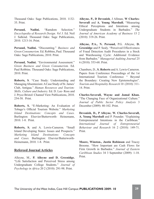Thousand Oaks: Sage Publications, 2010. 1132- 35. Print.

**Persaud.** Nadini. "Ramdom Selection." *Encyclopedia of Research Design. Vol 3.* Ed. Neil J. Salkind. Thousand Oaks: Sage Publications, 2010. 1213-16. Print.

**Persaud, Nadini.** "Discounting." *Business and Green Consumerism.* Ed. Robbins, Paul. Thousand Oaks: Sage Publications, 2010. Print.

**Persaud, Nadini.** "Environmental Assessment." *Green Business and Green Consumerism.* Ed. Paul Robbins. Thousand Oaks: Sage Publications, 2010. Print.

**Roberts, S**. "Case Study: Understanding and Managing Absenteeism: A Case Study of St. James' Club, Antigua." *Human Resources and Tourism: Skills, Culture and Industry.* Ed. D. Lee- Ross and J. Pryce Bristol: Channel View Publications, 2010. 254-58. Print.

**Roberts, S.** "E-Marketing: An Evaluation of Tobago's Official Tourism Website." *Marketing Island Destinations: Concepts and Cases.*  Burlington: Elsevier/Butterworth- Heinemann, 2010. 1-8. Print.

**Roberts, S.** and A. Lewis-Cameron. "Small Island Developing States: Issues and Prospects." *Marketing Island Destinations: Concepts and Cases.* Burlington: Elsevier/Butterworth-Heinemann, 2010. 1-8. Print.

# **Refereed Journal Articles**

Alleyne, M., **P. Alleyne and D. Greenidge.**  "Life Satisfaction and Perceived Stress among Undergraduate College Students." *Journal of Psychology in Africa* 20 2 (2010): 291-98. Print.

**Alleyne, P., D Devonish**, J Allman, **W Charles-Soverall** and **A. Young Marshall.** "Measuring Ethical Perceptions and Intentions among Undergraduate Students in Barbados." *The Journal of American Academy of Business* 15 2 (2010): 319-26. Print.

**Alleyne, P.A., N. Persaud,** P.G. Alleyne, **D. Greenidge** and P. Sealy. "Perceived Effectiveness of Fraud Detection Audit Procedures in a Stock and Warehousing Cycle: Additional Evidence from Barbados." *Managerial Auditing Journal* 25 6 (2010): 553-68. Print.

Chambers, D., **S. Roberts** and A. Lewis-Cameron. Papers from Conference Proceedings of the 1st International Tourism Conference " Beyond the Boundary: Creating New Epistemologies". *Tourism and Hospitality Research* 10 (2010): 311- 14. Print.

**Charles-Soverall, Wayne and Jamal Khan.** "The Changing Face of Organizational Culture." *Journal of Public Sector Policy Analysis* 3 December (2009): 80-102. Print.

**Devonish, D., P Alleyne, W. Charles-Soverall, A. Young Marshall** and P. Pounder. "Explaining Entrepreneurial Intentions in the Caribbean." *International Journal of Entrepreneurial Behaviour and Research* 16 2 (2010): 149-71. Print.

**Moore, Winston., Justin Robinson** and Tracey Broome. "How Important are Cash Flows for Firm Growth in Barbados." *Journal of Eastern Caribbean Studies* 34 3 September (2009): 1-18. Print.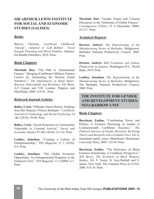# **SIR ARTHUR LEWIS INSTITUTE FOR SOCIAL AND ECONOMIC STUDIES (SALISES)**

#### **Books**

Barrow, Christine. *Caribbean Childhoods 'Outside', 'Adopted' or 'Left Behind: 'Good Enough' Parenting and Moral Families.* Jamaica: Ian Randle Publishers, 2010. Print.

#### **Book Chapters**

**Marshall, Don.** "The Path to 'International Finance': Bringing (Caribbean) Offshore Finance Centres In; Attenuating the Western Grand Narrative"." *The Diplomacies of Small States: Between Vulnerability and Resilience.* Ed. Show, A.F Cooper and T.M. London: Palgrave and MacMillan, 2009. 219-43. Print.

#### **Refereed Journal Articles**

**Bailey, Corin.** "Offender Abuse History: Findings from Her Majesty's Prison, Barbados." *Caribbean Journal of Criminology and Social Psychology* 14 1&2 (2010): 59-80. Print.

**Bailey, Corin**. "Social Protection in Communities Vulnerable to Criminal Activity." *Social and Economic Studies* 59 1&2 (2010): 211-42. Print.

**Lashley, Jonathan.** "Creating a Culture of Entrepreneurship." *YES Magasine* 12 2 (2010): 8-9. Print.

**Lashley, Jonathan.** "The Global Economic Opportunity: An Entrepreneurial Response to the Financial Crisis." *YES Magazine* 11 3 (2009): 6-7. Print.

**Marshall, Don.** "Gender Tropes and Colonial Discourses in the Turbulence of Global Finance." *Contemporary Politics* 15 4 (December 2009): 413-27. Print.

#### **Technical Reports**

**Downes, Andrew.** *The Repositioning of the Manufacturing Sector in Barbados.* Bridgetown: Barbados National Productivity Council, 2009. Print.

**Downes, Andrew.** *Skill Formation and Labour Productivity in Jamaica.* Washington D.C.: World Bank, 2010. Print.

**Lashley, Jonathan.** *The Repositioning of the Manufacturing Sector in Barbados.* Bridgetown: The Barbados National Productivity Council, 2009. Print.

# **THE INSTITUTE FOR GENDER AND DEVELOPMENT STUDIES: NITA BARROW UNIT**

#### **Book Chapters**

**Barriteau, Eudine.** "Confronting Power and Politics: A Feminist Theorizing of Gender in Commonwealth Caribbean Societies." *The Political Interests of Gender Revisited: Re-Doing Theory and Research with a Feminist Face.* Ed. A, Jonasdottir and K, Jones. Manchester: Manchester University Press, 2009. 122-48. Print.

**Barriteau, Eudine.** "The Relevance of Black Feminist Scholarship: A Caribbean Perspective." *Still Brave: The Evolution of Black Women's Studies.* Ed. F. Foster, B. Guy-Sheftall and S. James. New York: The Feminist Press at CUNY, 2009. 413-34. Print.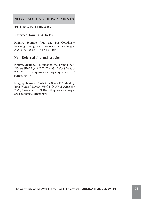# **NON-TEACHING DEPARTMENTS**

# **THE MAIN LIBRARY**

# **Refereed Journal Articles**

**Knight, Jennine**. "Pre and Post-Coordinate Indexing: Strengths and Weaknesses." *Catalogue and Index* 158 (2010): 12-16. Print.

# **Non-Refereed Journal Articles**

**Knight, Jeninne.** "Motivating the Front Line." *Library Work Life: HR E-NEws for Today's leaders* 7.3 (2010). <http://www.ala-apa.org/newsletter/ current.html>

**Knight, Jennine. "**What Is"Special?" Minding Your Words." *Library Work Life: HR E-NEws for Today's leaders* 7.1 (2010). <http://www.ala-apa. org/newsletter/current.html>.